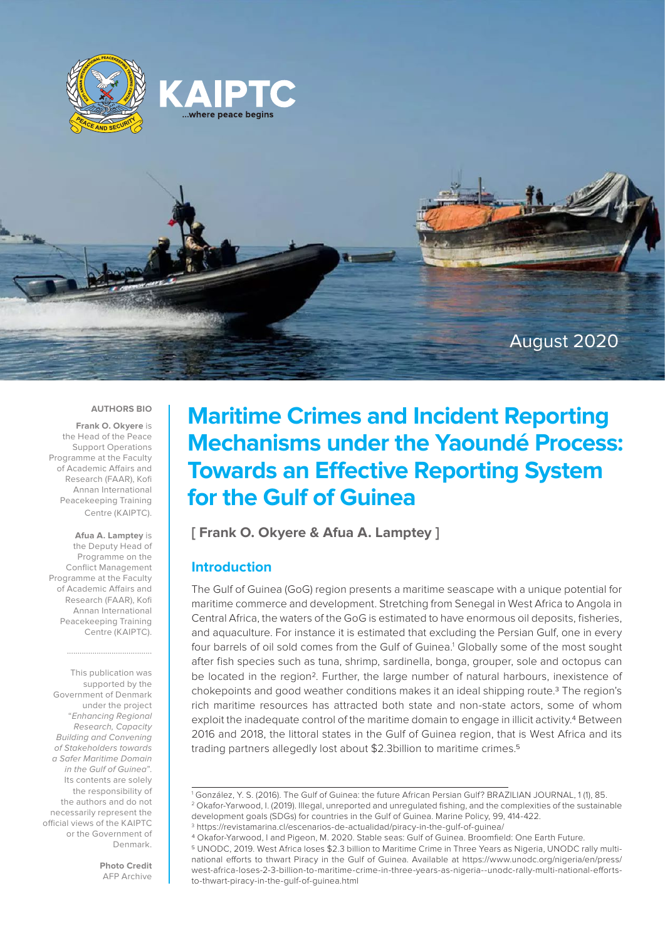





#### **AUTHORS BIO**

**Frank O. Okyere** is the Head of the Peace Support Operations Programme at the Faculty of Academic Affairs and Research (FAAR), Kofi Annan International Peacekeeping Training Centre (KAIPTC).

**Afua A. Lamptey** is the Deputy Head of Programme on the Conflict Management Programme at the Faculty of Academic Affairs and Research (FAAR), Kofi Annan International Peacekeeping Training Centre (KAIPTC).

........................................

This publication was supported by the Government of Denmark under the project "Enhancing Regional Research, Capacity Building and Convening of Stakeholders towards a Safer Maritime Domain in the Gulf of Guinea". Its contents are solely the responsibility of the authors and do not necessarily represent the official views of the KAIPTC or the Government of Denmark.

> **Photo Credit** AFP Archive

# **Maritime Crimes and Incident Reporting Mechanisms under the Yaoundé Process: Towards an Effective Reporting System for the Gulf of Guinea**

**[ Frank O. Okyere & Afua A. Lamptey ]**

# **Introduction**

The Gulf of Guinea (GoG) region presents a maritime seascape with a unique potential for maritime commerce and development. Stretching from Senegal in West Africa to Angola in Central Africa, the waters of the GoG is estimated to have enormous oil deposits, fisheries, and aquaculture. For instance it is estimated that excluding the Persian Gulf, one in every four barrels of oil sold comes from the Gulf of Guinea.<sup>1</sup> Globally some of the most sought after fish species such as tuna, shrimp, sardinella, bonga, grouper, sole and octopus can be located in the region<sup>2</sup>. Further, the large number of natural harbours, inexistence of chokepoints and good weather conditions makes it an ideal shipping route.3 The region's rich maritime resources has attracted both state and non-state actors, some of whom exploit the inadequate control of the maritime domain to engage in illicit activity.4 Between 2016 and 2018, the littoral states in the Gulf of Guinea region, that is West Africa and its trading partners allegedly lost about \$2.3billion to maritime crimes.5

<sup>1</sup> González, Y. S. (2016). The Gulf of Guinea: the future African Persian Gulf? BRAZILIAN JOURNAL, 1 (1), 85. 2 Okafor-Yarwood, I. (2019). Illegal, unreported and unregulated fishing, and the complexities of the sustainable development goals (SDGs) for countries in the Gulf of Guinea. Marine Policy, 99, 414-422.

<sup>3</sup> https://revistamarina.cl/escenarios-de-actualidad/piracy-in-the-gulf-of-guinea/

<sup>4</sup> Okafor-Yarwood, I and Pigeon, M. 2020. Stable seas: Gulf of Guinea. Broomfield: One Earth Future. 5 UNODC, 2019. West Africa loses \$2.3 billion to Maritime Crime in Three Years as Nigeria, UNODC rally multinational efforts to thwart Piracy in the Gulf of Guinea. Available at https://www.unodc.org/nigeria/en/press/ west-africa-loses-2-3-billion-to-maritime-crime-in-three-years-as-nigeria--unodc-rally-multi-national-effortsto-thwart-piracy-in-the-gulf-of-guinea.html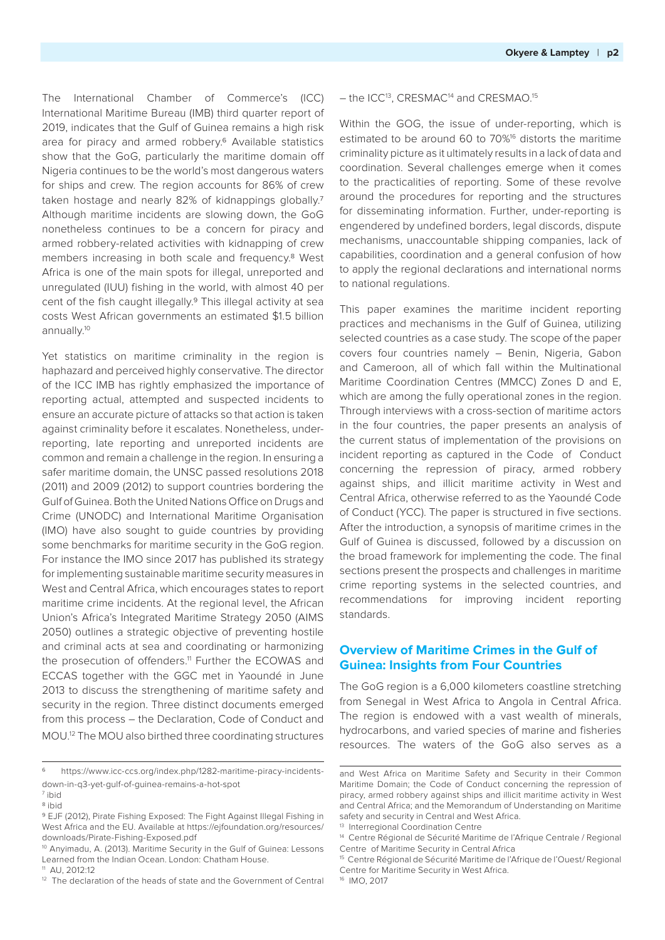The International Chamber of Commerce's (ICC) International Maritime Bureau (IMB) third quarter report of 2019, indicates that the Gulf of Guinea remains a high risk area for piracy and armed robbery.<sup>6</sup> Available statistics show that the GoG, particularly the maritime domain off Nigeria continues to be the world's most dangerous waters for ships and crew. The region accounts for 86% of crew taken hostage and nearly 82% of kidnappings globally.7 Although maritime incidents are slowing down, the GoG nonetheless continues to be a concern for piracy and armed robbery-related activities with kidnapping of crew members increasing in both scale and frequency.8 West Africa is one of the main spots for illegal, unreported and unregulated (IUU) fishing in the world, with almost 40 per cent of the fish caught illegally.9 This illegal activity at sea costs West African governments an estimated \$1.5 billion annually.10

Yet statistics on maritime criminality in the region is haphazard and perceived highly conservative. The director of the ICC IMB has rightly emphasized the importance of reporting actual, attempted and suspected incidents to ensure an accurate picture of attacks so that action is taken against criminality before it escalates. Nonetheless, underreporting, late reporting and unreported incidents are common and remain a challenge in the region. In ensuring a safer maritime domain, the UNSC passed resolutions 2018 (2011) and 2009 (2012) to support countries bordering the Gulf of Guinea. Both the United Nations Office on Drugs and Crime (UNODC) and International Maritime Organisation (IMO) have also sought to guide countries by providing some benchmarks for maritime security in the GoG region. For instance the IMO since 2017 has published its strategy for implementing sustainable maritime security measures in West and Central Africa, which encourages states to report maritime crime incidents. At the regional level, the African Union's Africa's Integrated Maritime Strategy 2050 (AIMS 2050) outlines a strategic objective of preventing hostile and criminal acts at sea and coordinating or harmonizing the prosecution of offenders.<sup>11</sup> Further the ECOWAS and ECCAS together with the GGC met in Yaoundé in June 2013 to discuss the strengthening of maritime safety and security in the region. Three distinct documents emerged from this process – the Declaration, Code of Conduct and MOU.12 The MOU also birthed three coordinating structures

#### – the ICC13, CRESMAC14 and CRESMAO.15

Within the GOG, the issue of under-reporting, which is estimated to be around 60 to 70%<sup>16</sup> distorts the maritime criminality picture as it ultimately results in a lack of data and coordination. Several challenges emerge when it comes to the practicalities of reporting. Some of these revolve around the procedures for reporting and the structures for disseminating information. Further, under-reporting is engendered by undefined borders, legal discords, dispute mechanisms, unaccountable shipping companies, lack of capabilities, coordination and a general confusion of how to apply the regional declarations and international norms to national regulations.

This paper examines the maritime incident reporting practices and mechanisms in the Gulf of Guinea, utilizing selected countries as a case study. The scope of the paper covers four countries namely – Benin, Nigeria, Gabon and Cameroon, all of which fall within the Multinational Maritime Coordination Centres (MMCC) Zones D and E, which are among the fully operational zones in the region. Through interviews with a cross-section of maritime actors in the four countries, the paper presents an analysis of the current status of implementation of the provisions on incident reporting as captured in the Code of Conduct concerning the repression of piracy, armed robbery against ships, and illicit maritime activity in West and Central Africa, otherwise referred to as the Yaoundé Code of Conduct (YCC). The paper is structured in five sections. After the introduction, a synopsis of maritime crimes in the Gulf of Guinea is discussed, followed by a discussion on the broad framework for implementing the code. The final sections present the prospects and challenges in maritime crime reporting systems in the selected countries, and recommendations for improving incident reporting standards.

# **Overview of Maritime Crimes in the Gulf of Guinea: Insights from Four Countries**

The GoG region is a 6,000 kilometers coastline stretching from Senegal in West Africa to Angola in Central Africa. The region is endowed with a vast wealth of minerals, hydrocarbons, and varied species of marine and fisheries resources. The waters of the GoG also serves as a

https://www.icc-ccs.org/index.php/1282-maritime-piracy-incidentsdown-in-q3-yet-gulf-of-guinea-remains-a-hot-spot

<sup>7</sup> ibid

<sup>8</sup> ibid

<sup>9</sup> EJF (2012), Pirate Fishing Exposed: The Fight Against Illegal Fishing in West Africa and the EU. Available at https://ejfoundation.org/resources/ downloads/Pirate-Fishing-Exposed.pdf

<sup>10</sup> Anyimadu, A. (2013). Maritime Security in the Gulf of Guinea: Lessons Learned from the Indian Ocean. London: Chatham House.

<sup>11</sup> AU, 2012:12

<sup>&</sup>lt;sup>12</sup> The declaration of the heads of state and the Government of Central

and West Africa on Maritime Safety and Security in their Common Maritime Domain; the Code of Conduct concerning the repression of piracy, armed robbery against ships and illicit maritime activity in West and Central Africa; and the Memorandum of Understanding on Maritime safety and security in Central and West Africa.

<sup>&</sup>lt;sup>13</sup> Interregional Coordination Centre

<sup>14</sup> Centre Régional de Sécurité Maritime de l'Afrique Centrale / Regional Centre of Maritime Security in Central Africa

<sup>15</sup> Centre Régional de Sécurité Maritime de l'Afrique de l'Ouest/ Regional Centre for Maritime Security in West Africa.

<sup>16</sup> IMO, 2017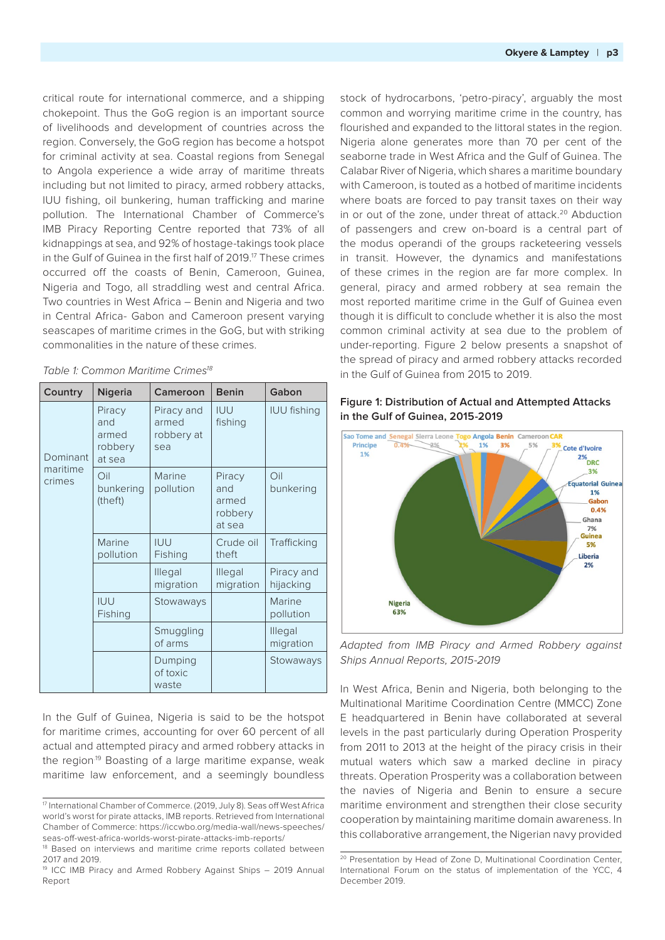critical route for international commerce, and a shipping chokepoint. Thus the GoG region is an important source of livelihoods and development of countries across the region. Conversely, the GoG region has become a hotspot for criminal activity at sea. Coastal regions from Senegal to Angola experience a wide array of maritime threats including but not limited to piracy, armed robbery attacks, IUU fishing, oil bunkering, human trafficking and marine pollution. The International Chamber of Commerce's IMB Piracy Reporting Centre reported that 73% of all kidnappings at sea, and 92% of hostage-takings took place in the Gulf of Guinea in the first half of 2019.<sup>17</sup> These crimes occurred off the coasts of Benin, Cameroon, Guinea, Nigeria and Togo, all straddling west and central Africa. Two countries in West Africa – Benin and Nigeria and two in Central Africa- Gabon and Cameroon present varying seascapes of maritime crimes in the GoG, but with striking commonalities in the nature of these crimes.

| Country                        | <b>Nigeria</b>                              | Cameroon                                 | <b>Benin</b>                                | Gabon                   |
|--------------------------------|---------------------------------------------|------------------------------------------|---------------------------------------------|-------------------------|
| Dominant<br>maritime<br>crimes | Piracy<br>and<br>armed<br>robbery<br>at sea | Piracy and<br>armed<br>robbery at<br>sea | <b>IUU</b><br>fishing                       | <b>IUU fishing</b>      |
|                                | Oil<br>bunkering<br>(theft)                 | Marine<br>pollution                      | Piracy<br>and<br>armed<br>robbery<br>at sea | Oil<br>bunkering        |
|                                | Marine<br>pollution                         | <b>IUU</b><br>Fishing                    | Crude oil<br>theft                          | Trafficking             |
|                                |                                             | Illegal<br>migration                     | Illegal<br>migration                        | Piracy and<br>hijacking |
|                                | <b>IUU</b><br>Fishing                       | Stowaways                                |                                             | Marine<br>pollution     |
|                                |                                             | Smuggling<br>of arms                     |                                             | Illegal<br>migration    |
|                                |                                             | Dumping<br>of toxic<br>waste             |                                             | Stowaways               |

Table 1: Common Maritime Crimes<sup>18</sup>

In the Gulf of Guinea, Nigeria is said to be the hotspot for maritime crimes, accounting for over 60 percent of all actual and attempted piracy and armed robbery attacks in the region<sup>19</sup> Boasting of a large maritime expanse, weak maritime law enforcement, and a seemingly boundless

 stock of hydrocarbons, 'petro-piracy', arguably the most common and worrying maritime crime in the country, has flourished and expanded to the littoral states in the region. Nigeria alone generates more than 70 per cent of the seaborne trade in West Africa and the Gulf of Guinea. The Calabar River of Nigeria, which shares a maritime boundary with Cameroon, is touted as a hotbed of maritime incidents where boats are forced to pay transit taxes on their way in or out of the zone, under threat of attack.<sup>20</sup> Abduction of passengers and crew on-board is a central part of the modus operandi of the groups racketeering vessels in transit. However, the dynamics and manifestations of these crimes in the region are far more complex. In general, piracy and armed robbery at sea remain the most reported maritime crime in the Gulf of Guinea even though it is difficult to conclude whether it is also the most common criminal activity at sea due to the problem of under-reporting. Figure 2 below presents a snapshot of the spread of piracy and armed robbery attacks recorded in the Gulf of Guinea from 2015 to 2019.



#### **Figure 1: Distribution of Actual and Attempted Attacks in the Gulf of Guinea, 2015-2019**

Adapted from IMB Piracy and Armed Robbery against Ships Annual Reports, 2015-2019

In West Africa, Benin and Nigeria, both belonging to the Multinational Maritime Coordination Centre (MMCC) Zone E headquartered in Benin have collaborated at several levels in the past particularly during Operation Prosperity from 2011 to 2013 at the height of the piracy crisis in their mutual waters which saw a marked decline in piracy threats. Operation Prosperity was a collaboration between the navies of Nigeria and Benin to ensure a secure maritime environment and strengthen their close security cooperation by maintaining maritime domain awareness. In this collaborative arrangement, the Nigerian navy provided

<sup>17</sup> International Chamber of Commerce. (2019, July 8). Seas off West Africa world's worst for pirate attacks, IMB reports. Retrieved from International Chamber of Commerce: https://iccwbo.org/media-wall/news-speeches/ seas-off-west-africa-worlds-worst-pirate-attacks-imb-reports/

<sup>&</sup>lt;sup>18</sup> Based on interviews and maritime crime reports collated between 2017 and 2019.

<sup>19</sup> ICC IMB Piracy and Armed Robbery Against Ships – 2019 Annual Report

<sup>&</sup>lt;sup>20</sup> Presentation by Head of Zone D, Multinational Coordination Center, International Forum on the status of implementation of the YCC, 4 December 2019.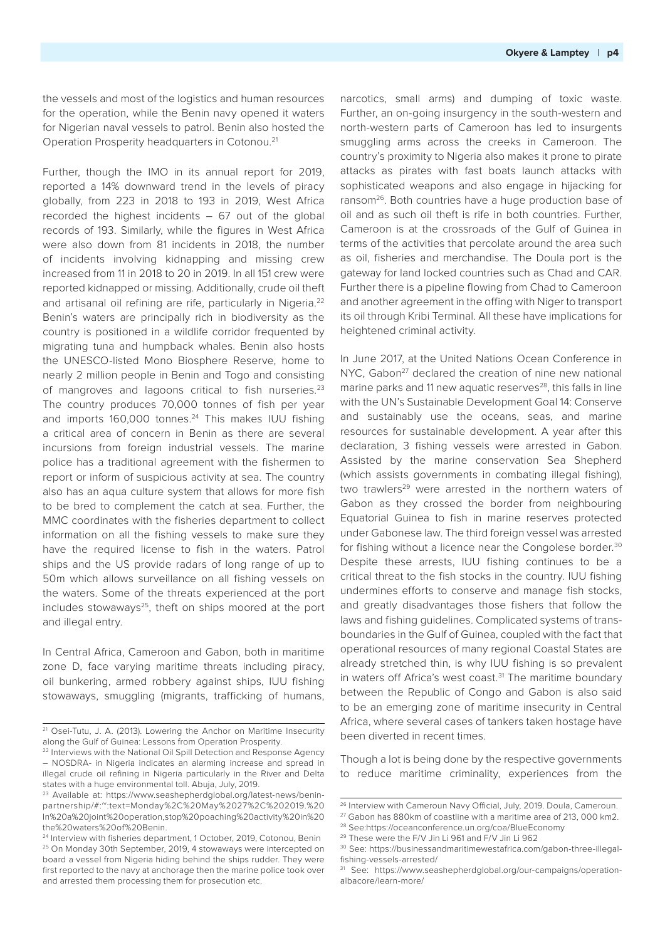the vessels and most of the logistics and human resources for the operation, while the Benin navy opened it waters for Nigerian naval vessels to patrol. Benin also hosted the Operation Prosperity headquarters in Cotonou.21

Further, though the IMO in its annual report for 2019, reported a 14% downward trend in the levels of piracy globally, from 223 in 2018 to 193 in 2019, West Africa recorded the highest incidents – 67 out of the global records of 193. Similarly, while the figures in West Africa were also down from 81 incidents in 2018, the number of incidents involving kidnapping and missing crew increased from 11 in 2018 to 20 in 2019. In all 151 crew were reported kidnapped or missing. Additionally, crude oil theft and artisanal oil refining are rife, particularly in Nigeria.<sup>22</sup> Benin's waters are principally rich in biodiversity as the country is positioned in a wildlife corridor frequented by migrating tuna and humpback whales. Benin also hosts the UNESCO-listed Mono Biosphere Reserve, home to nearly 2 million people in Benin and Togo and consisting of mangroves and lagoons critical to fish nurseries.<sup>23</sup> The country produces 70,000 tonnes of fish per year and imports 160,000 tonnes.<sup>24</sup> This makes IUU fishing a critical area of concern in Benin as there are several incursions from foreign industrial vessels. The marine police has a traditional agreement with the fishermen to report or inform of suspicious activity at sea. The country also has an aqua culture system that allows for more fish to be bred to complement the catch at sea. Further, the MMC coordinates with the fisheries department to collect information on all the fishing vessels to make sure they have the required license to fish in the waters. Patrol ships and the US provide radars of long range of up to 50m which allows surveillance on all fishing vessels on the waters. Some of the threats experienced at the port includes stowaways<sup>25</sup>, theft on ships moored at the port and illegal entry.

In Central Africa, Cameroon and Gabon, both in maritime zone D, face varying maritime threats including piracy, oil bunkering, armed robbery against ships, IUU fishing stowaways, smuggling (migrants, trafficking of humans,

narcotics, small arms) and dumping of toxic waste. Further, an on-going insurgency in the south-western and north-western parts of Cameroon has led to insurgents smuggling arms across the creeks in Cameroon. The country's proximity to Nigeria also makes it prone to pirate attacks as pirates with fast boats launch attacks with sophisticated weapons and also engage in hijacking for ransom<sup>26</sup>. Both countries have a huge production base of oil and as such oil theft is rife in both countries. Further, Cameroon is at the crossroads of the Gulf of Guinea in terms of the activities that percolate around the area such as oil, fisheries and merchandise. The Doula port is the gateway for land locked countries such as Chad and CAR. Further there is a pipeline flowing from Chad to Cameroon and another agreement in the offing with Niger to transport its oil through Kribi Terminal. All these have implications for heightened criminal activity.

In June 2017, at the United Nations Ocean Conference in NYC, Gabon<sup>27</sup> declared the creation of nine new national marine parks and 11 new aquatic reserves<sup>28</sup>, this falls in line with the UN's Sustainable Development Goal 14: Conserve and sustainably use the oceans, seas, and marine resources for sustainable development. A year after this declaration, 3 fishing vessels were arrested in Gabon. Assisted by the marine conservation Sea Shepherd (which assists governments in combating illegal fishing), two trawlers<sup>29</sup> were arrested in the northern waters of Gabon as they crossed the border from neighbouring Equatorial Guinea to fish in marine reserves protected under Gabonese law. The third foreign vessel was arrested for fishing without a licence near the Congolese border.<sup>30</sup> Despite these arrests, IUU fishing continues to be a critical threat to the fish stocks in the country. IUU fishing undermines efforts to conserve and manage fish stocks, and greatly disadvantages those fishers that follow the laws and fishing guidelines. Complicated systems of transboundaries in the Gulf of Guinea, coupled with the fact that operational resources of many regional Coastal States are already stretched thin, is why IUU fishing is so prevalent in waters off Africa's west coast.<sup>31</sup> The maritime boundary between the Republic of Congo and Gabon is also said to be an emerging zone of maritime insecurity in Central Africa, where several cases of tankers taken hostage have been diverted in recent times.

Though a lot is being done by the respective governments to reduce maritime criminality, experiences from the

<sup>21</sup> Osei-Tutu, J. A. (2013). Lowering the Anchor on Maritime Insecurity along the Gulf of Guinea: Lessons from Operation Prosperity.

<sup>&</sup>lt;sup>22</sup> Interviews with the National Oil Spill Detection and Response Agency – NOSDRA- in Nigeria indicates an alarming increase and spread in illegal crude oil refining in Nigeria particularly in the River and Delta states with a huge environmental toll. Abuja, July, 2019.

<sup>23</sup> Available at: https://www.seashepherdglobal.org/latest-news/beninpartnership/#:~:text=Monday%2C%20May%2027%2C%202019.%20 In%20a%20joint%20operation,stop%20poaching%20activity%20in%20 the%20waters%20of%20Benin.

<sup>&</sup>lt;sup>24</sup> Interview with fisheries department, 1 October, 2019, Cotonou, Benin 25 On Monday 30th September, 2019, 4 stowaways were intercepted on board a vessel from Nigeria hiding behind the ships rudder. They were first reported to the navy at anchorage then the marine police took over and arrested them processing them for prosecution etc.

<sup>&</sup>lt;sup>26</sup> Interview with Cameroun Navy Official, July, 2019, Doula, Cameroun.

<sup>&</sup>lt;sup>27</sup> Gabon has 880km of coastline with a maritime area of 213, 000 km2.

<sup>28</sup> See:https://oceanconference.un.org/coa/BlueEconomy

<sup>29</sup> These were the F/V Jin Li 961 and F/V Jin Li 962

<sup>30</sup> See: https://businessandmaritimewestafrica.com/gabon-three-illegalfishing-vessels-arrested/

<sup>31</sup> See: https://www.seashepherdglobal.org/our-campaigns/operationalbacore/learn-more/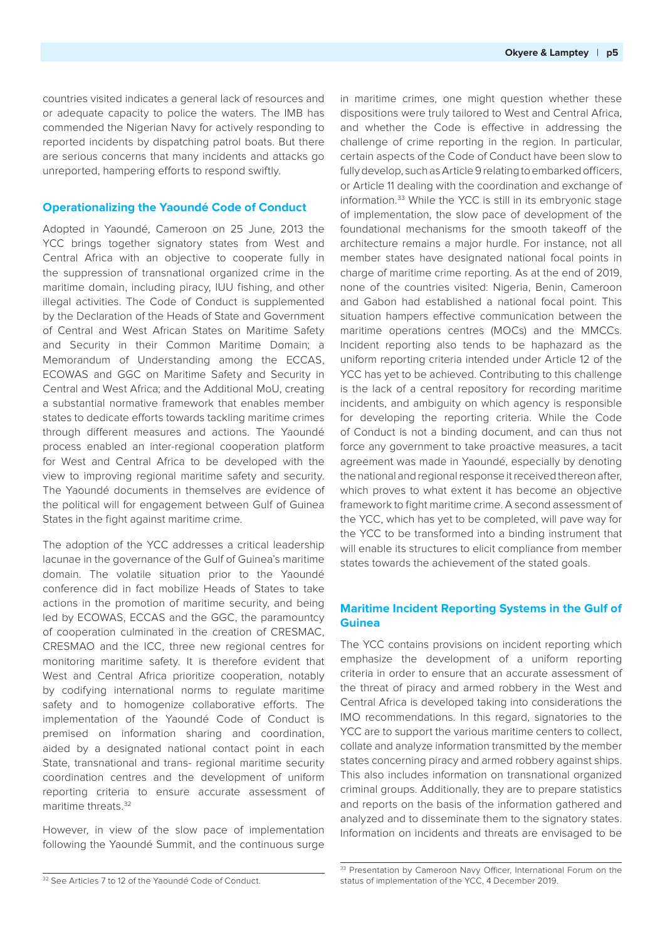countries visited indicates a general lack of resources and or adequate capacity to police the waters. The IMB has commended the Nigerian Navy for actively responding to reported incidents by dispatching patrol boats. But there are serious concerns that many incidents and attacks go unreported, hampering efforts to respond swiftly.

### **Operationalizing the Yaoundé Code of Conduct**

Adopted in Yaoundé, Cameroon on 25 June, 2013 the YCC brings together signatory states from West and Central Africa with an objective to cooperate fully in the suppression of transnational organized crime in the maritime domain, including piracy, IUU fishing, and other illegal activities. The Code of Conduct is supplemented by the Declaration of the Heads of State and Government of Central and West African States on Maritime Safety and Security in their Common Maritime Domain; a Memorandum of Understanding among the ECCAS, ECOWAS and GGC on Maritime Safety and Security in Central and West Africa; and the Additional MoU, creating a substantial normative framework that enables member states to dedicate efforts towards tackling maritime crimes through different measures and actions. The Yaoundé process enabled an inter-regional cooperation platform for West and Central Africa to be developed with the view to improving regional maritime safety and security. The Yaoundé documents in themselves are evidence of the political will for engagement between Gulf of Guinea States in the fight against maritime crime.

The adoption of the YCC addresses a critical leadership lacunae in the governance of the Gulf of Guinea's maritime domain. The volatile situation prior to the Yaoundé conference did in fact mobilize Heads of States to take actions in the promotion of maritime security, and being led by ECOWAS, ECCAS and the GGC, the paramountcy of cooperation culminated in the creation of CRESMAC, CRESMAO and the ICC, three new regional centres for monitoring maritime safety. It is therefore evident that West and Central Africa prioritize cooperation, notably by codifying international norms to regulate maritime safety and to homogenize collaborative efforts. The implementation of the Yaoundé Code of Conduct is premised on information sharing and coordination, aided by a designated national contact point in each State, transnational and trans- regional maritime security coordination centres and the development of uniform reporting criteria to ensure accurate assessment of maritime threats.32

However, in view of the slow pace of implementation following the Yaoundé Summit, and the continuous surge in maritime crimes, one might question whether these dispositions were truly tailored to West and Central Africa, and whether the Code is effective in addressing the challenge of crime reporting in the region. In particular, certain aspects of the Code of Conduct have been slow to fully develop, such as Article 9 relating to embarked officers, or Article 11 dealing with the coordination and exchange of information.33 While the YCC is still in its embryonic stage of implementation, the slow pace of development of the foundational mechanisms for the smooth takeoff of the architecture remains a major hurdle. For instance, not all member states have designated national focal points in charge of maritime crime reporting. As at the end of 2019, none of the countries visited: Nigeria, Benin, Cameroon and Gabon had established a national focal point. This situation hampers effective communication between the maritime operations centres (MOCs) and the MMCCs. Incident reporting also tends to be haphazard as the uniform reporting criteria intended under Article 12 of the YCC has yet to be achieved. Contributing to this challenge is the lack of a central repository for recording maritime incidents, and ambiguity on which agency is responsible for developing the reporting criteria. While the Code of Conduct is not a binding document, and can thus not force any government to take proactive measures, a tacit agreement was made in Yaoundé, especially by denoting the national and regional response it received thereon after, which proves to what extent it has become an objective framework to fight maritime crime. A second assessment of the YCC, which has yet to be completed, will pave way for the YCC to be transformed into a binding instrument that will enable its structures to elicit compliance from member states towards the achievement of the stated goals.

## **Maritime Incident Reporting Systems in the Gulf of Guinea**

The YCC contains provisions on incident reporting which emphasize the development of a uniform reporting criteria in order to ensure that an accurate assessment of the threat of piracy and armed robbery in the West and Central Africa is developed taking into considerations the IMO recommendations. In this regard, signatories to the YCC are to support the various maritime centers to collect, collate and analyze information transmitted by the member states concerning piracy and armed robbery against ships. This also includes information on transnational organized criminal groups. Additionally, they are to prepare statistics and reports on the basis of the information gathered and analyzed and to disseminate them to the signatory states. Information on incidents and threats are envisaged to be

<sup>&</sup>lt;sup>32</sup> See Articles 7 to 12 of the Yaoundé Code of Conduct.

<sup>33</sup> Presentation by Cameroon Navy Officer, International Forum on the status of implementation of the YCC, 4 December 2019.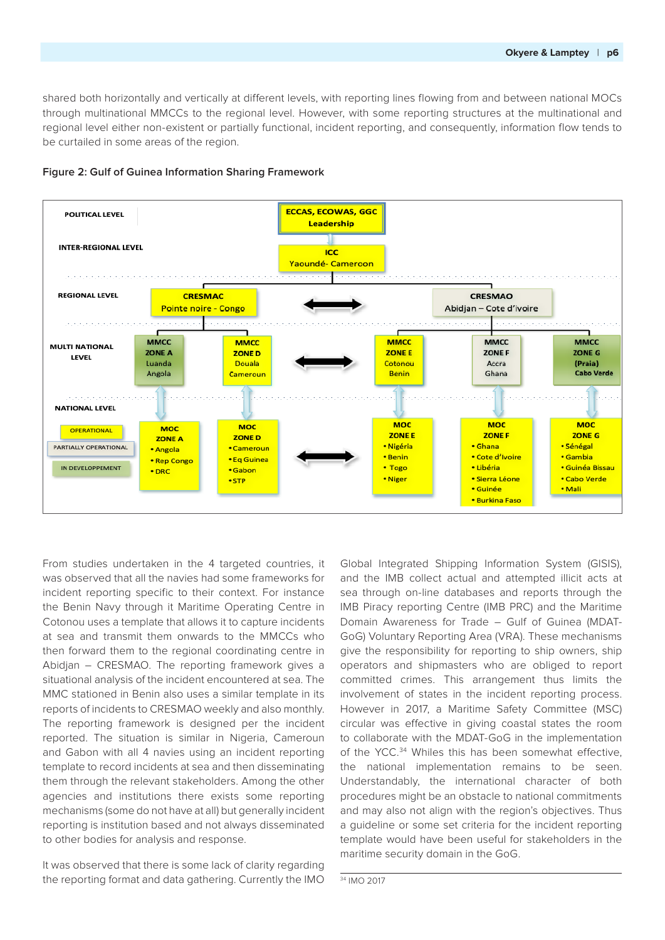shared both horizontally and vertically at different levels, with reporting lines flowing from and between national MOCs through multinational MMCCs to the regional level. However, with some reporting structures at the multinational and regional level either non-existent or partially functional, incident reporting, and consequently, information flow tends to be curtailed in some areas of the region.





From studies undertaken in the 4 targeted countries, it was observed that all the navies had some frameworks for incident reporting specific to their context. For instance the Benin Navy through it Maritime Operating Centre in Cotonou uses a template that allows it to capture incidents at sea and transmit them onwards to the MMCCs who then forward them to the regional coordinating centre in Abidjan – CRESMAO. The reporting framework gives a situational analysis of the incident encountered at sea. The MMC stationed in Benin also uses a similar template in its reports of incidents to CRESMAO weekly and also monthly. The reporting framework is designed per the incident reported. The situation is similar in Nigeria, Cameroun and Gabon with all 4 navies using an incident reporting template to record incidents at sea and then disseminating them through the relevant stakeholders. Among the other agencies and institutions there exists some reporting mechanisms (some do not have at all) but generally incident reporting is institution based and not always disseminated to other bodies for analysis and response.

It was observed that there is some lack of clarity regarding the reporting format and data gathering. Currently the IMO

Global Integrated Shipping Information System (GISIS), and the IMB collect actual and attempted illicit acts at sea through on-line databases and reports through the IMB Piracy reporting Centre (IMB PRC) and the Maritime Domain Awareness for Trade – Gulf of Guinea (MDAT-GoG) Voluntary Reporting Area (VRA). These mechanisms give the responsibility for reporting to ship owners, ship operators and shipmasters who are obliged to report committed crimes. This arrangement thus limits the involvement of states in the incident reporting process. However in 2017, a Maritime Safety Committee (MSC) circular was effective in giving coastal states the room to collaborate with the MDAT-GoG in the implementation of the YCC.<sup>34</sup> Whiles this has been somewhat effective. the national implementation remains to be seen. Understandably, the international character of both procedures might be an obstacle to national commitments and may also not align with the region's objectives. Thus a guideline or some set criteria for the incident reporting template would have been useful for stakeholders in the maritime security domain in the GoG.

34 IMO 2017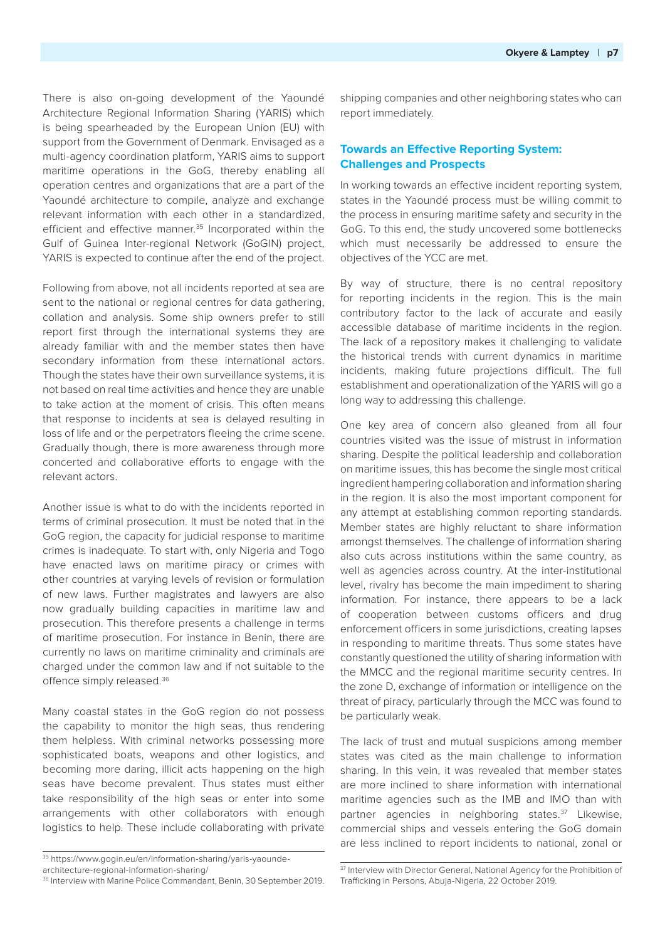There is also on-going development of the Yaoundé Architecture Regional Information Sharing (YARIS) which is being spearheaded by the European Union (EU) with support from the Government of Denmark. Envisaged as a multi-agency coordination platform, YARIS aims to support maritime operations in the GoG, thereby enabling all operation centres and organizations that are a part of the Yaoundé architecture to compile, analyze and exchange relevant information with each other in a standardized, efficient and effective manner.<sup>35</sup> Incorporated within the Gulf of Guinea Inter-regional Network (GoGIN) project, YARIS is expected to continue after the end of the project.

Following from above, not all incidents reported at sea are sent to the national or regional centres for data gathering, collation and analysis. Some ship owners prefer to still report first through the international systems they are already familiar with and the member states then have secondary information from these international actors. Though the states have their own surveillance systems, it is not based on real time activities and hence they are unable to take action at the moment of crisis. This often means that response to incidents at sea is delayed resulting in loss of life and or the perpetrators fleeing the crime scene. Gradually though, there is more awareness through more concerted and collaborative efforts to engage with the relevant actors.

Another issue is what to do with the incidents reported in terms of criminal prosecution. It must be noted that in the GoG region, the capacity for judicial response to maritime crimes is inadequate. To start with, only Nigeria and Togo have enacted laws on maritime piracy or crimes with other countries at varying levels of revision or formulation of new laws. Further magistrates and lawyers are also now gradually building capacities in maritime law and prosecution. This therefore presents a challenge in terms of maritime prosecution. For instance in Benin, there are currently no laws on maritime criminality and criminals are charged under the common law and if not suitable to the offence simply released.36

Many coastal states in the GoG region do not possess the capability to monitor the high seas, thus rendering them helpless. With criminal networks possessing more sophisticated boats, weapons and other logistics, and becoming more daring, illicit acts happening on the high seas have become prevalent. Thus states must either take responsibility of the high seas or enter into some arrangements with other collaborators with enough logistics to help. These include collaborating with private

shipping companies and other neighboring states who can report immediately.

# **Towards an Effective Reporting System: Challenges and Prospects**

In working towards an effective incident reporting system, states in the Yaoundé process must be willing commit to the process in ensuring maritime safety and security in the GoG. To this end, the study uncovered some bottlenecks which must necessarily be addressed to ensure the objectives of the YCC are met.

By way of structure, there is no central repository for reporting incidents in the region. This is the main contributory factor to the lack of accurate and easily accessible database of maritime incidents in the region. The lack of a repository makes it challenging to validate the historical trends with current dynamics in maritime incidents, making future projections difficult. The full establishment and operationalization of the YARIS will go a long way to addressing this challenge.

One key area of concern also gleaned from all four countries visited was the issue of mistrust in information sharing. Despite the political leadership and collaboration on maritime issues, this has become the single most critical ingredient hampering collaboration and information sharing in the region. It is also the most important component for any attempt at establishing common reporting standards. Member states are highly reluctant to share information amongst themselves. The challenge of information sharing also cuts across institutions within the same country, as well as agencies across country. At the inter-institutional level, rivalry has become the main impediment to sharing information. For instance, there appears to be a lack of cooperation between customs officers and drug enforcement officers in some jurisdictions, creating lapses in responding to maritime threats. Thus some states have constantly questioned the utility of sharing information with the MMCC and the regional maritime security centres. In the zone D, exchange of information or intelligence on the threat of piracy, particularly through the MCC was found to be particularly weak.

The lack of trust and mutual suspicions among member states was cited as the main challenge to information sharing. In this vein, it was revealed that member states are more inclined to share information with international maritime agencies such as the IMB and IMO than with partner agencies in neighboring states.<sup>37</sup> Likewise, commercial ships and vessels entering the GoG domain are less inclined to report incidents to national, zonal or

<sup>35</sup> https://www.gogin.eu/en/information-sharing/yaris-yaounde-

architecture-regional-information-sharing/

<sup>36</sup> Interview with Marine Police Commandant, Benin, 30 September 2019.

<sup>&</sup>lt;sup>37</sup> Interview with Director General, National Agency for the Prohibition of Trafficking in Persons, Abuja-Nigeria, 22 October 2019.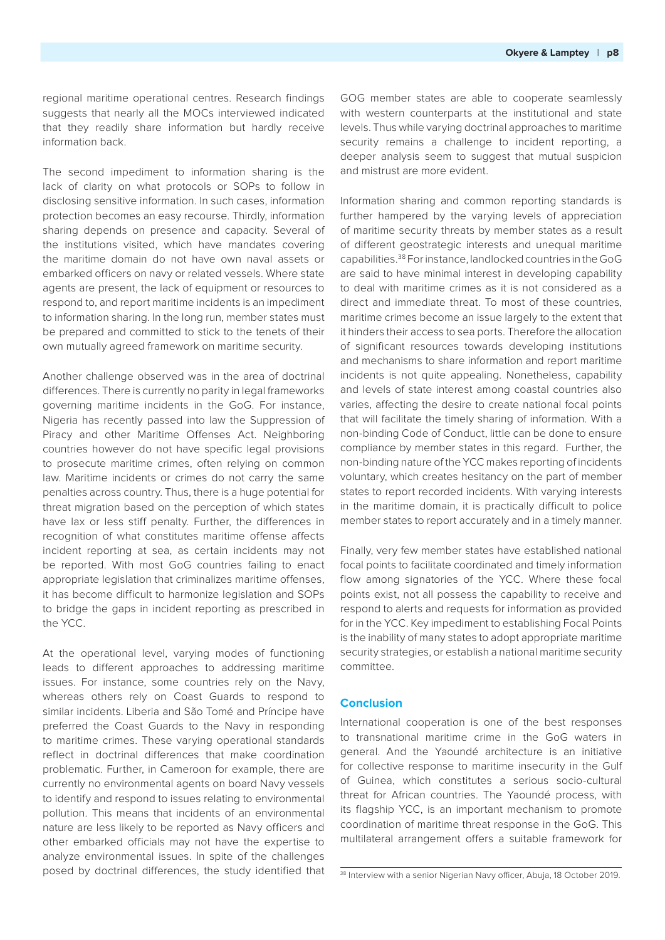regional maritime operational centres. Research findings suggests that nearly all the MOCs interviewed indicated that they readily share information but hardly receive information back.

The second impediment to information sharing is the lack of clarity on what protocols or SOPs to follow in disclosing sensitive information. In such cases, information protection becomes an easy recourse. Thirdly, information sharing depends on presence and capacity. Several of the institutions visited, which have mandates covering the maritime domain do not have own naval assets or embarked officers on navy or related vessels. Where state agents are present, the lack of equipment or resources to respond to, and report maritime incidents is an impediment to information sharing. In the long run, member states must be prepared and committed to stick to the tenets of their own mutually agreed framework on maritime security.

Another challenge observed was in the area of doctrinal differences. There is currently no parity in legal frameworks governing maritime incidents in the GoG. For instance, Nigeria has recently passed into law the Suppression of Piracy and other Maritime Offenses Act. Neighboring countries however do not have specific legal provisions to prosecute maritime crimes, often relying on common law. Maritime incidents or crimes do not carry the same penalties across country. Thus, there is a huge potential for threat migration based on the perception of which states have lax or less stiff penalty. Further, the differences in recognition of what constitutes maritime offense affects incident reporting at sea, as certain incidents may not be reported. With most GoG countries failing to enact appropriate legislation that criminalizes maritime offenses, it has become difficult to harmonize legislation and SOPs to bridge the gaps in incident reporting as prescribed in the YCC.

At the operational level, varying modes of functioning leads to different approaches to addressing maritime issues. For instance, some countries rely on the Navy, whereas others rely on Coast Guards to respond to similar incidents. Liberia and São Tomé and Príncipe have preferred the Coast Guards to the Navy in responding to maritime crimes. These varying operational standards reflect in doctrinal differences that make coordination problematic. Further, in Cameroon for example, there are currently no environmental agents on board Navy vessels to identify and respond to issues relating to environmental pollution. This means that incidents of an environmental nature are less likely to be reported as Navy officers and other embarked officials may not have the expertise to analyze environmental issues. In spite of the challenges posed by doctrinal differences, the study identified that

GOG member states are able to cooperate seamlessly with western counterparts at the institutional and state levels. Thus while varying doctrinal approaches to maritime security remains a challenge to incident reporting, a deeper analysis seem to suggest that mutual suspicion and mistrust are more evident.

Information sharing and common reporting standards is further hampered by the varying levels of appreciation of maritime security threats by member states as a result of different geostrategic interests and unequal maritime capabilities.38 For instance, landlocked countries in the GoG are said to have minimal interest in developing capability to deal with maritime crimes as it is not considered as a direct and immediate threat. To most of these countries, maritime crimes become an issue largely to the extent that it hinders their access to sea ports. Therefore the allocation of significant resources towards developing institutions and mechanisms to share information and report maritime incidents is not quite appealing. Nonetheless, capability and levels of state interest among coastal countries also varies, affecting the desire to create national focal points that will facilitate the timely sharing of information. With a non-binding Code of Conduct, little can be done to ensure compliance by member states in this regard. Further, the non-binding nature of the YCC makes reporting of incidents voluntary, which creates hesitancy on the part of member states to report recorded incidents. With varying interests in the maritime domain, it is practically difficult to police member states to report accurately and in a timely manner.

Finally, very few member states have established national focal points to facilitate coordinated and timely information flow among signatories of the YCC. Where these focal points exist, not all possess the capability to receive and respond to alerts and requests for information as provided for in the YCC. Key impediment to establishing Focal Points is the inability of many states to adopt appropriate maritime security strategies, or establish a national maritime security committee.

## **Conclusion**

International cooperation is one of the best responses to transnational maritime crime in the GoG waters in general. And the Yaoundé architecture is an initiative for collective response to maritime insecurity in the Gulf of Guinea, which constitutes a serious socio-cultural threat for African countries. The Yaoundé process, with its flagship YCC, is an important mechanism to promote coordination of maritime threat response in the GoG. This multilateral arrangement offers a suitable framework for

<sup>&</sup>lt;sup>38</sup> Interview with a senior Nigerian Navy officer, Abuja, 18 October 2019.